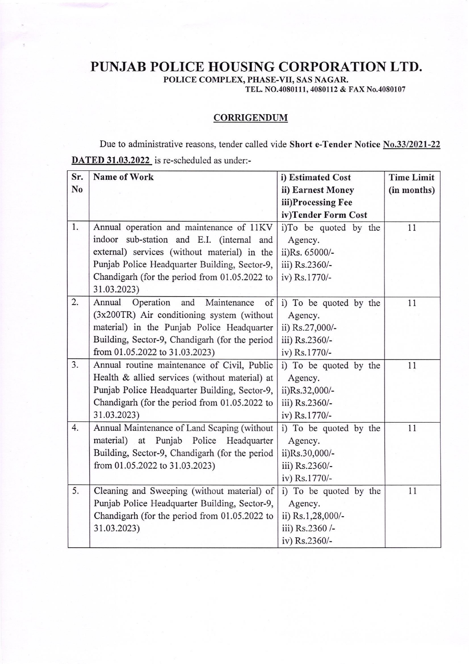## PUNJAB POLICE HOUSING CORPORATION LTD.

POLICE COMPLEX, PHASE.VII, SAS NAGAR.

TEL. NO.4080111,4080112 & FAX No.4080I07

## **CORRIGENDUM**

Due to administrative reasons, tender called vide Short e-Tender Notice No.33/2021-22 DATED 31.03.2022 is re-scheduled as under:-

| Sr.            | <b>Name of Work</b>                             | i) Estimated Cost      | <b>Time Limit</b> |
|----------------|-------------------------------------------------|------------------------|-------------------|
| N <sub>o</sub> |                                                 | ii) Earnest Money      | (in months)       |
|                |                                                 | iii)Processing Fee     |                   |
|                |                                                 | iv)Tender Form Cost    |                   |
| 1.             | Annual operation and maintenance of 11KV        | i)To be quoted by the  | 11                |
|                | indoor sub-station and E.I. (internal and       | Agency.                |                   |
|                | external) services (without material) in the    | ii)Rs. 65000/-         |                   |
|                | Punjab Police Headquarter Building, Sector-9,   | iii) Rs.2360/-         |                   |
|                | Chandigarh (for the period from 01.05.2022 to   | iv) Rs.1770/-          |                   |
|                | 31.03.2023)                                     |                        |                   |
| 2.             | Annual<br>Operation<br>and<br>Maintenance<br>of | i) To be quoted by the | 11                |
|                | (3x200TR) Air conditioning system (without      | Agency.                |                   |
|                | material) in the Punjab Police Headquarter      | ii) Rs.27,000/-        |                   |
|                | Building, Sector-9, Chandigarh (for the period  | iii) Rs.2360/-         |                   |
|                | from 01.05.2022 to 31.03.2023)                  | iv) Rs.1770/-          |                   |
| 3.             | Annual routine maintenance of Civil, Public     | i) To be quoted by the | 11                |
|                | Health & allied services (without material) at  | Agency.                |                   |
|                | Punjab Police Headquarter Building, Sector-9,   | ii)Rs.32,000/-         |                   |
|                | Chandigarh (for the period from 01.05.2022 to   | iii) Rs.2360/-         |                   |
|                | 31.03.2023)                                     | iv) Rs.1770/-          |                   |
| 4.             | Annual Maintenance of Land Scaping (without     | i) To be quoted by the | 11                |
|                | Punjab Police Headquarter<br>material) at       | Agency.                |                   |
|                | Building, Sector-9, Chandigarh (for the period  | ii)Rs.30,000/-         |                   |
|                | from 01.05.2022 to 31.03.2023)                  | iii) Rs.2360/-         |                   |
|                |                                                 | iv) Rs.1770/-          |                   |
| 5.             | Cleaning and Sweeping (without material) of     | i) To be quoted by the | 11                |
|                | Punjab Police Headquarter Building, Sector-9,   | Agency.                |                   |
|                | Chandigarh (for the period from 01.05.2022 to   | ii) Rs.1,28,000/-      |                   |
|                | 31.03.2023)                                     | iii) Rs.2360 /-        |                   |
|                |                                                 | iv) Rs.2360/-          |                   |